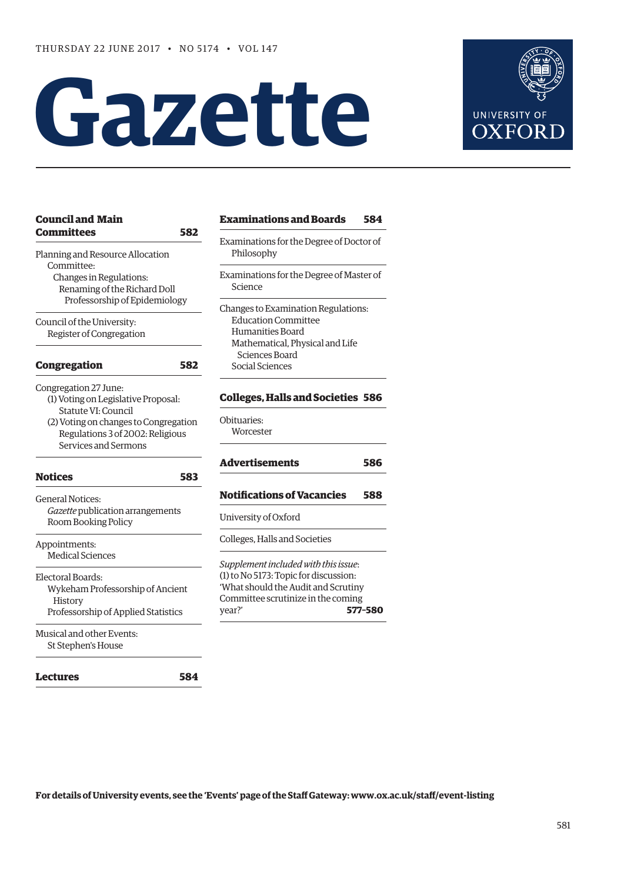**[Council and Main](#page-1-0)** 

# **Gazette**



| <b>Council and Main</b>                                                                                                                                                                  | <b>Examinations and Boards</b><br>584                                                                                                                                           |
|------------------------------------------------------------------------------------------------------------------------------------------------------------------------------------------|---------------------------------------------------------------------------------------------------------------------------------------------------------------------------------|
| <b>Committees</b><br>582<br>Planning and Resource Allocation                                                                                                                             | Examinations for the Degree of Doctor of<br>Philosophy                                                                                                                          |
| Committee:<br>Changes in Regulations:<br>Renaming of the Richard Doll<br>Professorship of Epidemiology                                                                                   | Examinations for the Degree of Master of<br>Science                                                                                                                             |
| Council of the University:<br>Register of Congregation                                                                                                                                   | Changes to Examination Regulations:<br><b>Education Committee</b><br>Humanities Board<br>Mathematical, Physical and Life                                                        |
| <b>Congregation</b><br>582                                                                                                                                                               | Sciences Board<br>Social Sciences                                                                                                                                               |
| Congregation 27 June:<br>(1) Voting on Legislative Proposal:<br>Statute VI: Council<br>(2) Voting on changes to Congregation<br>Regulations 3 of 2002: Religious<br>Services and Sermons | <b>Colleges, Halls and Societies 586</b><br>Obituaries:<br>Worcester                                                                                                            |
|                                                                                                                                                                                          | <b>Advertisements</b><br>586                                                                                                                                                    |
| <b>Notices</b><br>583                                                                                                                                                                    |                                                                                                                                                                                 |
| <b>General Notices:</b><br>Gazette publication arrangements<br>Room Booking Policy                                                                                                       | <b>Notifications of Vacancies</b><br>588<br>University of Oxford                                                                                                                |
| Appointments:<br><b>Medical Sciences</b>                                                                                                                                                 | Colleges, Halls and Societies                                                                                                                                                   |
| Electoral Boards:<br>Wykeham Professorship of Ancient<br>History<br>Professorship of Applied Statistics                                                                                  | Supplement included with this issue:<br>(1) to No 5173: Topic for discussion:<br>'What should the Audit and Scrutiny<br>Committee scrutinize in the coming<br>year?'<br>577-580 |
| Musical and other Events:<br>St Stephen's House                                                                                                                                          |                                                                                                                                                                                 |
| Lectures<br>584                                                                                                                                                                          |                                                                                                                                                                                 |

**For details of University events, see the 'Events' page of the Staff Gateway: [www.ox.ac.uk/staff/event-listing](http://www.ox.ac.uk/staff/event-listing)**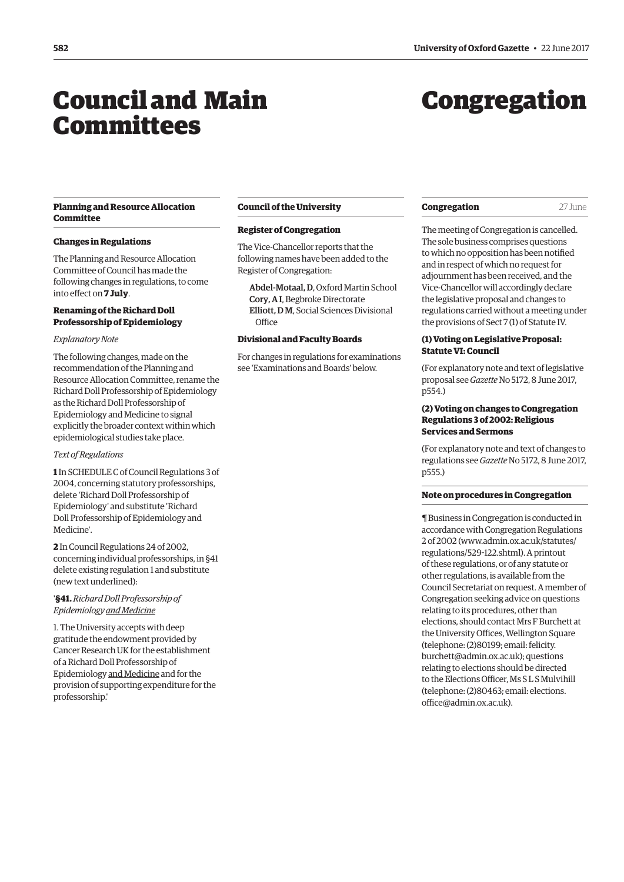## <span id="page-1-0"></span>Council and Main Committees

## Congregation

#### **Planning and Resource Allocation Committee**

#### **Changes in Regulations**

The Planning and Resource Allocation Committee of Council has made the following changes in regulations, to come into effect on **7 July**.

#### **Renaming of the Richard Doll Professorship of Epidemiology**

#### *Explanatory Note*

The following changes, made on the recommendation of the Planning and Resource Allocation Committee, rename the Richard Doll Professorship of Epidemiology as the Richard Doll Professorship of Epidemiology and Medicine to signal explicitly the broader context within which epidemiological studies take place.

#### *Text of Regulations*

**1** In SCHEDULE C of Council Regulations 3 of 2004, concerning statutory professorships, delete 'Richard Doll Professorship of Epidemiology' and substitute 'Richard Doll Professorship of Epidemiology and Medicine'.

**2** In Council Regulations 24 of 2002, concerning individual professorships, in §41 delete existing regulation 1 and substitute (new text underlined):

#### '**§41.***Richard Doll Professorship of Epidemiology and Medicine*

1. The University accepts with deep gratitude the endowment provided by Cancer Research UK for the establishment of a Richard Doll Professorship of Epidemiology and Medicine and for the provision of supporting expenditure for the professorship.'

#### **Council of the University**

#### **Register of Congregation**

The Vice-Chancellor reports that the following names have been added to the Register of Congregation:

Abdel-Motaal, D, Oxford Martin School Cory, A I, Begbroke Directorate Elliott, D M, Social Sciences Divisional **Office** 

#### **Divisional and Faculty Boards**

For changes in regulations for examinations see 'Examinations and Boards' below.

#### **Congregation** 27 June

The meeting of Congregation is cancelled. The sole business comprises questions to which no opposition has been notified and in respect of which no request for adjournment has been received, and the Vice-Chancellor will accordingly declare the legislative proposal and changes to regulations carried without a meeting under the provisions of Sect 7 (1) of Statute IV.

#### **(1) Voting on Legislative Proposal: Statute VI: Council**

(For explanatory note and text of legislative proposal see *Gazette* No 5172, 8 June 2017, p554.)

#### **(2) Voting on changes to Congregation Regulations 3 of 2002: Religious Services and Sermons**

(For explanatory note and text of changes to regulations see *Gazette* No 5172, 8 June 2017, p555.)

#### **Note on procedures in Congregation**

¶ Business in Congregation is conducted in accordance with Congregation Regulations 2 of 2002 [\(www.admin.ox.ac.uk/statutes/](http://www.admin.ox.ac.uk/statutes/regulations/529-122.shtml) [regulations/529-122.shtml\). A p](http://www.admin.ox.ac.uk/statutes/regulations/529-122.shtml)rintout of these regulations, or of any statute or other regulations, is available from the Council Secretariat on request. A member of Congregation seeking advice on questions relating to its procedures, other than elections, should contact Mrs F Burchett at the University Offices, Wellington Square (telephone: (2)80199; email: felicity. [burchett@admin.ox.ac.uk\); questions](mailto:felicity.burchett@admin.ox.ac.uk)  relating to elections should be directed to the Elections Officer, Ms S L S Mulvihill [\(telephone: \(2\)80463; email: elections.](mailto:elections.office@admin.ox.ac.uk) office@admin.ox.ac.uk).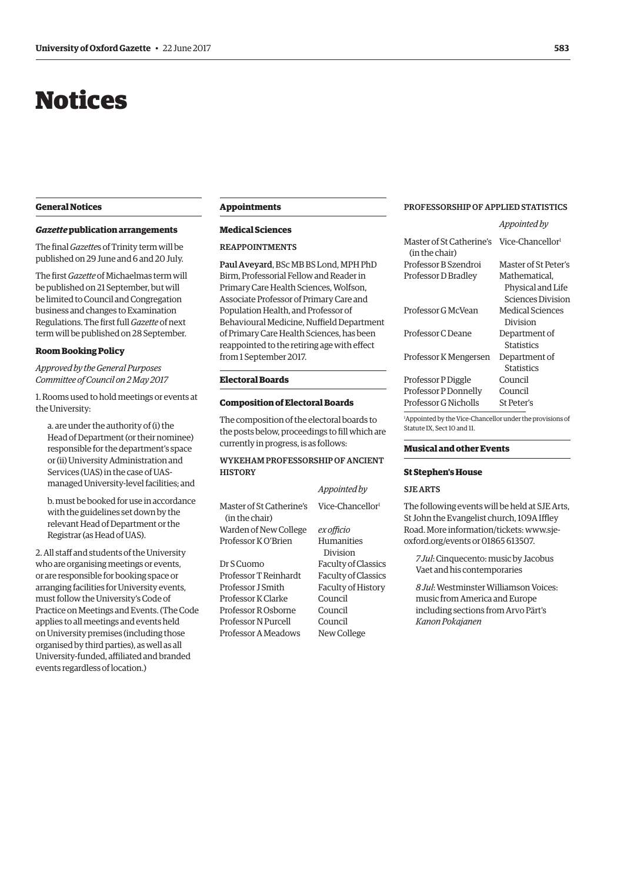## <span id="page-2-0"></span>Notices

#### **General Notices**

#### *Gazette* **publication arrangements**

The final *Gazette*s of Trinity term will be published on 29 June and 6 and 20 July.

The first *Gazette* of Michaelmas term will be published on 21 September, but will be limited to Council and Congregation business and changes to Examination Regulations. The first full *Gazette* of next term will be published on 28 September.

#### **Room Booking Policy**

*Approved by the General Purposes Committee of Council on 2 May 2017*

1. Rooms used to hold meetings or events at the University:

a. are under the authority of (i) the Head of Department (or their nominee) responsible for the department's space or (ii) University Administration and Services (UAS) in the case of UASmanaged University-level facilities; and

b. must be booked for use in accordance with the guidelines set down by the relevant Head of Department or the Registrar (as Head of UAS).

2. All staff and students of the University who are organising meetings or events, or are responsible for booking space or arranging facilities for University events, must follow the University's Code of Practice on Meetings and Events. (The Code applies to all meetings and events held on University premises (including those organised by third parties), as well as all University-funded, affiliated and branded events regardless of location.)

#### **Appointments**

#### **Medical Sciences**

#### REAPPOINTMENTS

Paul Aveyard, BSc MB BS Lond, MPH PhD Birm, Professorial Fellow and Reader in Primary Care Health Sciences, Wolfson, Associate Professor of Primary Care and Population Health, and Professor of Behavioural Medicine, Nuffield Department of Primary Care Health Sciences, has been reappointed to the retiring age with effect from 1 September 2017.

#### **Electoral Boards**

#### **Composition of Electoral Boards**

The composition of the electoral boards to the posts below, proceedings to fill which are currently in progress, is as follows:

#### WYKEHAM PROFESSORSHIP OF ANCIENT **HISTORY**

|                                            | Appointed by                 |
|--------------------------------------------|------------------------------|
| Master of St Catherine's<br>(in the chair) | Vice-Chancellor <sup>1</sup> |
| Warden of New College                      | ex officio                   |
| Professor K O'Brien                        | Humanities                   |
|                                            | Division                     |
| Dr S Cuomo                                 | <b>Faculty of Classics</b>   |
| Professor T Reinhardt                      | <b>Faculty of Classics</b>   |
| Professor J Smith                          | Faculty of History           |

Professor K Clarke Council Professor R Osborne Council Professor N Purcell Council Professor A Meadows New College

#### PROFESSORSHIP OF APPLIED STATISTICS

|                                                                                                      | Appointed by                 |
|------------------------------------------------------------------------------------------------------|------------------------------|
| Master of St Catherine's<br>(in the chair)                                                           | Vice-Chancellor <sup>1</sup> |
| Professor B Szendroi                                                                                 | Master of St Peter's         |
| Professor D Bradley                                                                                  | Mathematical,                |
|                                                                                                      | Physical and Life            |
|                                                                                                      | <b>Sciences Division</b>     |
| Professor G McVean                                                                                   | Medical Sciences             |
|                                                                                                      | Division                     |
| Professor C Deane                                                                                    | Department of                |
|                                                                                                      | <b>Statistics</b>            |
| Professor K Mengersen                                                                                | Department of                |
|                                                                                                      | <b>Statistics</b>            |
| Professor P Diggle                                                                                   | Council                      |
| Professor P Donnelly                                                                                 | Council                      |
| Professor G Nicholls                                                                                 | St Peter's                   |
| <sup>1</sup> Appointed by the Vice-Chancellor under the provisions of<br>Statute IX, Sect 10 and 11. |                              |

#### **Musical and other Events**

#### **St Stephen's House**

#### SJE ARTS

The following events will be held at SJE Arts, St John the Evangelist church, 109A Iffley [Road. More information/tickets: www.sje](www.sje-oxford.org/events)oxford.org/events or 01865 613507.

*7 Jul*: Cinquecento: music by Jacobus Vaet and his contemporaries

*8 Jul*: Westminster Williamson Voices: music from America and Europe including sections from Arvo Pärt's *Kanon Pokajanen*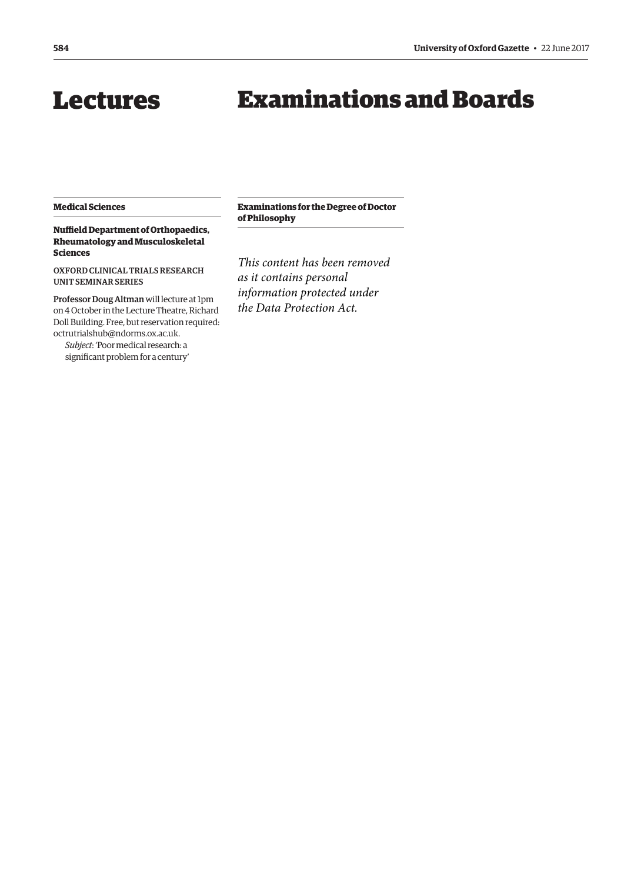## <span id="page-3-0"></span>Lectures Examinations and Boards

#### **Medical Sciences**

**Nuffield Department of Orthopaedics, Rheumatology and Musculoskeletal Sciences**

OXFORD CLINICAL TRIALS RESEARCH UNIT SEMINAR SERIES

Professor Doug Altman will lecture at 1pm on 4 October in the Lecture Theatre, Richard Doll Building. Free, but reservation required: [octrutrialshub@ndorms.ox.ac.uk.](mailto:octrutrialshub@ndorms.ox.ac.uk)

*Subject*: 'Poor medical research: a significant problem for a century' **Examinations for the Degree of Doctor of Philosophy**

*This content has been removed as it contains personal information protected under the Data Protection Act.*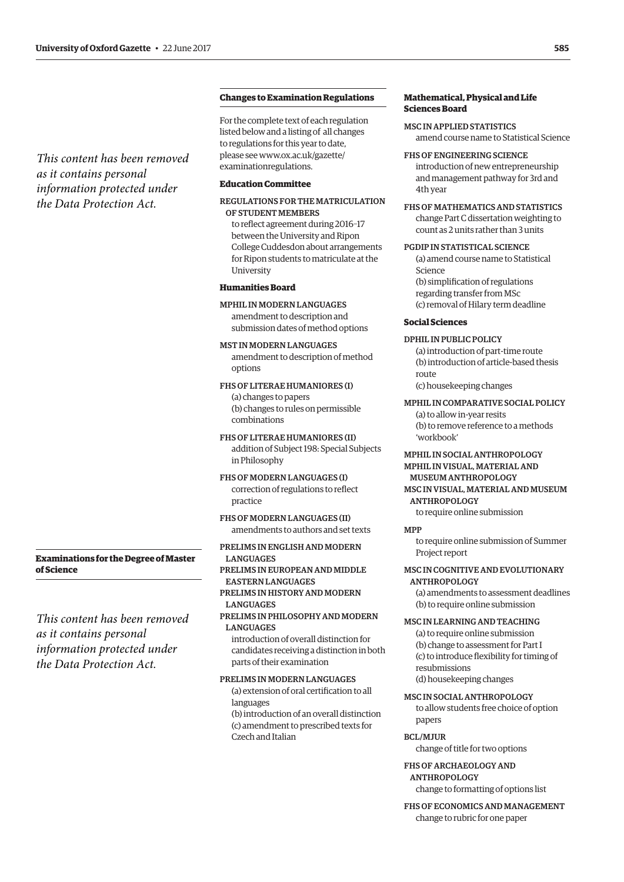*This content has been removed as it contains personal information protected under the Data Protection Act.*

#### **Changes to Examination Regulations**

For the complete text of each regulation listed below and a listing of all changes to regulations for this year to date, [please see www.ox.ac.uk/gazette/](www.ox.ac.uk/gazette/examinationregulations) examinationregulations.

#### **Education Committee**

#### REGULATIONS FOR THE MATRICULATION OF STUDENT MEMBERS

to reflect agreement during 2016–17 between the University and Ripon College Cuddesdon about arrangements for Ripon students to matriculate at the University

#### **Humanities Board**

MPHIL IN MODERN LANGUAGES amendment to description and submission dates of method options

MST IN MODERN LANGUAGES amendment to description of method options

#### FHS OF LITERAE HUMANIORES (I) (a) changes to papers (b) changes to rules on permissible

combinations

FHS OF LITERAE HUMANIORES (II) addition of Subject 198: Special Subjects in Philosophy

FHS OF MODERN LANGUAGES (I) correction of regulations to reflect practice

FHS OF MODERN LANGUAGES (II) amendments to authors and set texts

#### PRELIMS IN ENGLISH AND MODERN **LANGUAGES** PRELIMS IN EUROPEAN AND MIDDLE EASTERN LANGUAGES PRELIMS IN HISTORY AND MODERN **LANGUAGES** PRELIMS IN PHILOSOPHY AND MODERN

**LANGUAGES** introduction of overall distinction for candidates receiving a distinction in both parts of their examination

PRELIMS IN MODERN LANGUAGES (a) extension of oral certification to all languages (b) introduction of an overall distinction (c) amendment to prescribed texts for Czech and Italian

#### **Mathematical, Physical and Life Sciences Board**

MSC IN APPLIED STATISTICS amend course name to Statistical Science

FHS OF ENGINEERING SCIENCE introduction of new entrepreneurship and management pathway for 3rd and 4th year

FHS OF MATHEMATICS AND STATISTICS change Part C dissertation weighting to count as 2 units rather than 3 units

#### PGDIP IN STATISTICAL SCIENCE

(a) amend course name to Statistical Science (b) simplification of regulations

regarding transfer from MSc (c) removal of Hilary term deadline

#### **Social Sciences**

#### DPHIL IN PUBLIC POLICY

(a) introduction of part-time route (b) introduction of article-based thesis route (c) housekeeping changes

MPHIL IN COMPARATIVE SOCIAL POLICY

(a) to allow in-year resits (b) to remove reference to a methods 'workbook'

#### MPHIL IN SOCIAL ANTHROPOLOGY MPHIL IN VISUAL, MATERIAL AND

MUSEUM ANTHROPOLOGY MSC IN VISUAL, MATERIAL AND MUSEUM ANTHROPOLOGY

to require online submission

#### MPP

to require online submission of Summer Project report

#### MSC IN COGNITIVE AND EVOLUTIONARY ANTHROPOLOGY

(a) amendments to assessment deadlines (b) to require online submission

#### MSC IN LEARNING AND TEACHING

(a) to require online submission (b) change to assessment for Part I (c) to introduce flexibility for timing of resubmissions (d) housekeeping changes

MSC IN SOCIAL ANTHROPOLOGY

to allow students free choice of option papers

#### BCL/MJUR

change of title for two options

FHS OF ARCHAEOLOGY AND ANTHROPOLOGY change to formatting of options list

FHS OF ECONOMICS AND MANAGEMENT change to rubric for one paper

#### **Examinations for the Degree of Master of Science**

*This content has been removed as it contains personal information protected under the Data Protection Act.*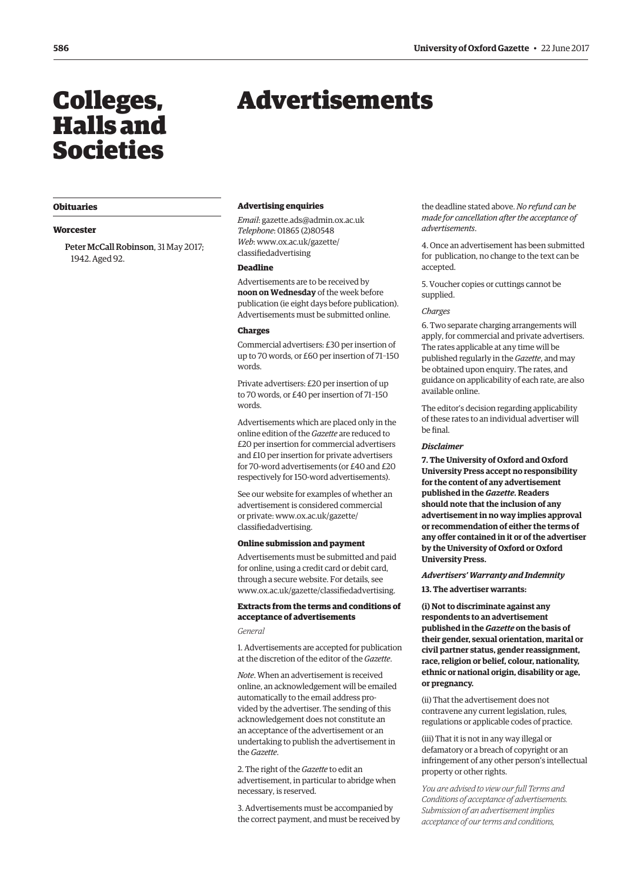## <span id="page-5-0"></span>Halls and Societies

#### **Obituaries**

#### **Worcester**

Peter McCall Robinson, 31 May 2017; 1942. Aged 92.

## Colleges, Advertisements

#### **Advertising enquiries**

*Email*: [gazette.ads@admin.ox.ac.uk](mailto:gazette.ads@admin.ox.ac.uk) *Telephone*: 01865 (2)80548 *Web*[: www.ox.ac.uk/gazette/](www.ox.ac.uk/gazette/classifiedadvertising) classifiedadvertising

#### **Deadline**

Advertisements are to be received by **noon on Wednesday** of the week before publication (ie eight days before publication). Advertisements must be submitted online.

#### **Charges**

Commercial advertisers: £30 per insertion of up to 70 words, or £60 per insertion of 71–150 words.

Private advertisers: £20 per insertion of up to 70 words, or £40 per insertion of 71–150 words.

Advertisements which are placed only in the online edition of the *Gazette* are reduced to £20 per insertion for commercial advertisers and £10 per insertion for private advertisers for 70-word advertisements (or £40 and £20 respectively for 150-word advertisements).

See our website for examples of whether an advertisement is considered commercial [or private: www.ox.ac.uk/gazette/](www.ox.ac.uk/gazette/classifiedadvertising) classifiedadvertising.

#### **Online submission and payment**

Advertisements must be submitted and paid for online, using a credit card or debit card, through a secure website. For details, see [www.ox.ac.uk/gazette/classifiedadvertising.](http://www.ox.ac.uk/gazette/classifiedadvertising)

#### **Extracts from the terms and conditions of acceptance of advertisements**

*General*

1. Advertisements are accepted for publication at the discretion of the editor of the *Gazette*.

*Note*. When an advertisement is received online, an acknowledgement will be emailed automatically to the email address provided by the advertiser. The sending of this acknowledgement does not constitute an an acceptance of the advertisement or an undertaking to publish the advertisement in the *Gazette*.

2. The right of the *Gazette* to edit an advertisement, in particular to abridge when necessary, is reserved.

3. Advertisements must be accompanied by the correct payment, and must be received by the deadline stated above. *No refund can be made for cancellation after the acceptance of advertisements*.

4. Once an advertisement has been submitted for publication, no change to the text can be accepted.

5. Voucher copies or cuttings cannot be supplied.

#### *Charges*

6. Two separate charging arrangements will apply, for commercial and private advertisers. The rates applicable at any time will be published regularly in the *Gazette*, and may be obtained upon enquiry. The rates, and guidance on applicability of each rate, are also available online.

The editor's decision regarding applicability of these rates to an individual advertiser will be final.

#### *Disclaimer*

**7. The University of Oxford and Oxford University Press accept no responsibility for the content of any advertisement published in the** *Gazette***. Readers should note that the inclusion of any advertisement in no way implies approval or recommendation of either the terms of any offer contained in it or of the advertiser by the University of Oxford or Oxford University Press.**

*Advertisers' Warranty and Indemnity* **13. The advertiser warrants:**

**(i) Not to discriminate against any respondents to an advertisement published in the** *Gazette* **on the basis of their gender, sexual orientation, marital or civil partner status, gender reassignment, race, religion or belief, colour, nationality, ethnic or national origin, disability or age, or pregnancy.**

(ii) That the advertisement does not contravene any current legislation, rules, regulations or applicable codes of practice.

(iii) That it is not in any way illegal or defamatory or a breach of copyright or an infringement of any other person's intellectual property or other rights.

*You are advised to view our full Terms and Conditions of acceptance of advertisements. Submission of an advertisement implies acceptance of our terms and conditions,*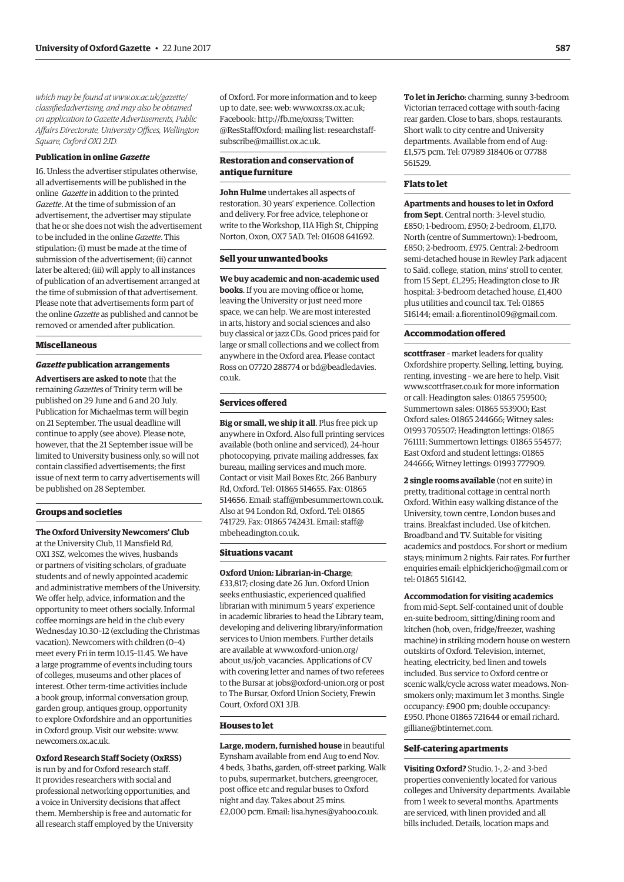*which may be found at www.ox.ac.uk/gazette/ [classifiedadvertising, and may also be obtained](www.ox.ac.uk/gazette/classifiedadvertising)  on application to Gazette Advertisements, Public Affairs Directorate, University Offices, Wellington Square, Oxford OX1 2JD.*

#### **Publication in online** *Gazette*

16. Unless the advertiser stipulates otherwise, all advertisements will be published in the online *Gazette* in addition to the printed *Gazette*. At the time of submission of an advertisement, the advertiser may stipulate that he or she does not wish the advertisement to be included in the online *Gazette*. This stipulation: (i) must be made at the time of submission of the advertisement; (ii) cannot later be altered; (iii) will apply to all instances of publication of an advertisement arranged at the time of submission of that advertisement. Please note that advertisements form part of the online *Gazette* as published and cannot be removed or amended after publication.

#### **Miscellaneous**

#### *Gazette* **publication arrangements**

**Advertisers are asked to note** that the remaining *Gazette*s of Trinity term will be published on 29 June and 6 and 20 July. Publication for Michaelmas term will begin on 21 September. The usual deadline will continue to apply (see above). Please note, however, that the 21 September issue will be limited to University business only, so will not contain classified advertisements; the first issue of next term to carry advertisements will be published on 28 September.

#### **Groups and societies**

**The Oxford University Newcomers' Club** at the University Club, 11 Mansfield Rd, OX1 3SZ, welcomes the wives, husbands or partners of visiting scholars, of graduate students and of newly appointed academic and administrative members of the University. We offer help, advice, information and the opportunity to meet others socially. Informal coffee mornings are held in the club every Wednesday 10.30–12 (excluding the Christmas vacation). Newcomers with children (0–4) meet every Fri in term 10.15–11.45. We have a large programme of events including tours of colleges, museums and other places of interest. Other term-time activities include a book group, informal conversation group, garden group, antiques group, opportunity to explore Oxfordshire and an opportunities in Oxford group. Visit our website: [www.](http://www.newcomers.ox.ac.uk) [newcomers.ox.ac.uk.](http://www.newcomers.ox.ac.uk)

#### **Oxford Research Staff Society (OxRSS)**

is run by and for Oxford research staff. It provides researchers with social and professional networking opportunities, and a voice in University decisions that affect them. Membership is free and automatic for all research staff employed by the University

of Oxford. For more information and to keep up to date, see: web: [www.oxrss.ox.ac.uk;](http://www.oxrss.ox.ac.uk)  Facebook: [http://fb.me/oxrss; Tw](http://fb.me/oxrss)itter: [@ResStaffOxford; mailing list: researchstaff](mailto:researchstaff-subscribe@maillist.ox.ac.uk)subscribe@maillist.ox.ac.uk.

#### **Restoration and conservation of antique furniture**

**John Hulme** undertakes all aspects of restoration. 30 years' experience. Collection and delivery. For free advice, telephone or write to the Workshop, 11A High St, Chipping Norton, Oxon, OX7 5AD. Tel: 01608 641692.

#### **Sell your unwanted books**

**We buy academic and non-academic used books**. If you are moving office or home, leaving the University or just need more space, we can help. We are most interested in arts, history and social sciences and also buy classical or jazz CDs. Good prices paid for large or small collections and we collect from anywhere in the Oxford area. Please contact [Ross on 07720 288774 or bd@beadledavies.](mailto:bd@beadledavies.co.uk) co.uk.

#### **Services offered**

**Big or small, we ship it all**. Plus free pick up anywhere in Oxford. Also full printing services available (both online and serviced), 24-hour photocopying, private mailing addresses, fax bureau, mailing services and much more. Contact or visit Mail Boxes Etc, 266 Banbury Rd, Oxford. Tel: 01865 514655. Fax: 01865 514656. Email: [staff@mbesummertown.co.uk.](mailto:staff@mbesummertown.co.uk)  Also at 94 London Rd, Oxford. Tel: 01865 [741729. Fax: 01865 742431. Email: staff@](mailto:staff@mbeheadington.co.uk) mbeheadington.co.uk.

#### **Situations vacant**

**Oxford Union: Librarian-in-Charge**; £33,817; closing date 26 Jun. Oxford Union seeks enthusiastic, experienced qualified librarian with minimum 5 years' experience in academic libraries to head the Library team, developing and delivering library/information services to Union members. Further details are available at www.oxford-union.org/ about us/job vacancies. Applications of CV with covering letter and names of two referees to the Bursar at [jobs@oxford-union.org or](mailto:jobs@oxford-union.org) post to The Bursar, Oxford Union Society, Frewin Court, Oxford OX1 3JB.

#### **Houses to let**

**Large, modern, furnished house** in beautiful Eynsham available from end Aug to end Nov. 4 beds, 3 baths, garden, off-street parking. Walk to pubs, supermarket, butchers, greengrocer, post office etc and regular buses to Oxford night and day. Takes about 25 mins. £2,000 pcm. Email: [lisa.hynes@yahoo.co.uk.](mailto:lisa.hynes@yahoo.co.uk)

**To let in Jericho**: charming, sunny 3-bedroom Victorian terraced cottage with south-facing rear garden. Close to bars, shops, restaurants. Short walk to city centre and University departments. Available from end of Aug: £1,575 pcm. Tel: 07989 318406 or 07788 561529.

#### **Flats to let**

**Apartments and houses to let in Oxford from Sept**. Central north: 3-level studio, £850; 1-bedroom, £950; 2-bedroom, £1,170. North (centre of Summertown): 1-bedroom, £850; 2-bedroom, £975. Central: 2-bedroom semi-detached house in Rewley Park adjacent to Saïd, college, station, mins' stroll to center, from 15 Sept, £1,295; Headington close to JR hospital: 3-bedroom detached house, £1,400 plus utilities and council tax. Tel: 01865 516144; email: [a.fiorentino109@gmail.com.](mailto:a.fiorentino109@gmail.com)

#### **Accommodation offered**

**scottfraser** – market leaders for quality Oxfordshire property. Selling, letting, buying, renting, investing – we are here to help. Visit [www.scottfraser.co.uk for](http://www.scottfraser.co.uk) more information or call: Headington sales: 01865 759500; Summertown sales: 01865 553900; East Oxford sales: 01865 244666; Witney sales: 01993 705507; Headington lettings: 01865 761111; Summertown lettings: 01865 554577; East Oxford and student lettings: 01865 244666; Witney lettings: 01993 777909.

**2 single rooms available** (not en suite) in pretty, traditional cottage in central north Oxford. Within easy walking distance of the University, town centre, London buses and trains. Breakfast included. Use of kitchen. Broadband and TV. Suitable for visiting academics and postdocs. For short or medium stays; minimum 2 nights. Fair rates. For further enquiries email: [elphickjericho@gmail.com or](mailto:elphickjericho@gmail.com) tel: 01865 516142.

#### **Accommodation for visiting academics**

from mid-Sept. Self-contained unit of double en-suite bedroom, sitting/dining room and kitchen (hob, oven, fridge/freezer, washing machine) in striking modern house on western outskirts of Oxford. Television, internet, heating, electricity, bed linen and towels included. Bus service to Oxford centre or scenic walk/cycle across water meadows. Nonsmokers only; maximum let 3 months. Single occupancy: £900 pm; double occupancy: [£950. Phone 01865 721644 or email richard.](mailto:richard.gilliane@btinternet.com) gilliane@btinternet.com.

#### **Self-catering apartments**

**Visiting Oxford?** Studio, 1-, 2- and 3-bed properties conveniently located for various colleges and University departments. Available from 1 week to several months. Apartments are serviced, with linen provided and all bills included. Details, location maps and